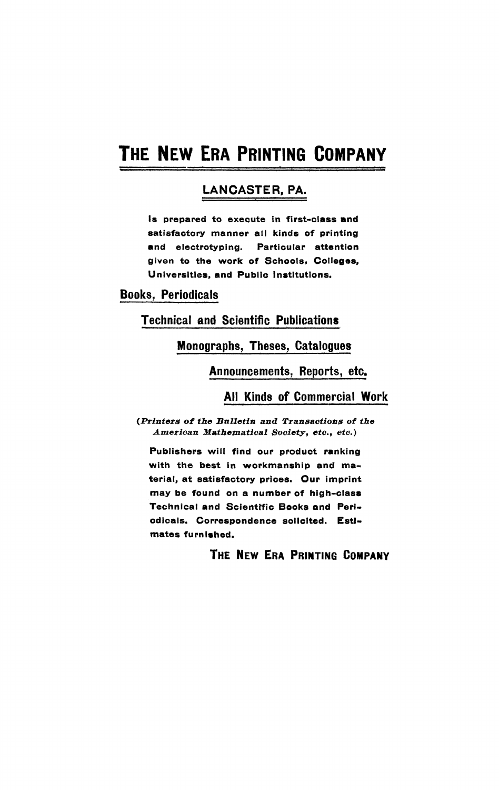# **THE NEW ERA PRINTING COMPANY**

# **LANCASTER, PA.**

**is prepared to execute in first-class and satisfactory manner all kinds of printing and electrotyping. Particular attention given to the work of Schools» Colleges, Universities, and Public Institutions.** 

**Books, Periodicals** 

**Technical and Scientific Publications** 

### **Monographs, Theses, Catalogues**

**Announcements, Reports, etc.** 

#### **All Kinds of Commercial Work**

*(Printers of the Bulletin and Transactions of the American Mathematical Society, etc., etc»)* 

**Publishers will find our product ranking with the best in workmanship and material, at satisfactory prices. Our imprint may be found on a number of high-class Technical and Scientific Books and Periodicals. Correspondence solicited. Estimates furnished.** 

## **THE NEW ERA PRINTING COMPANY**